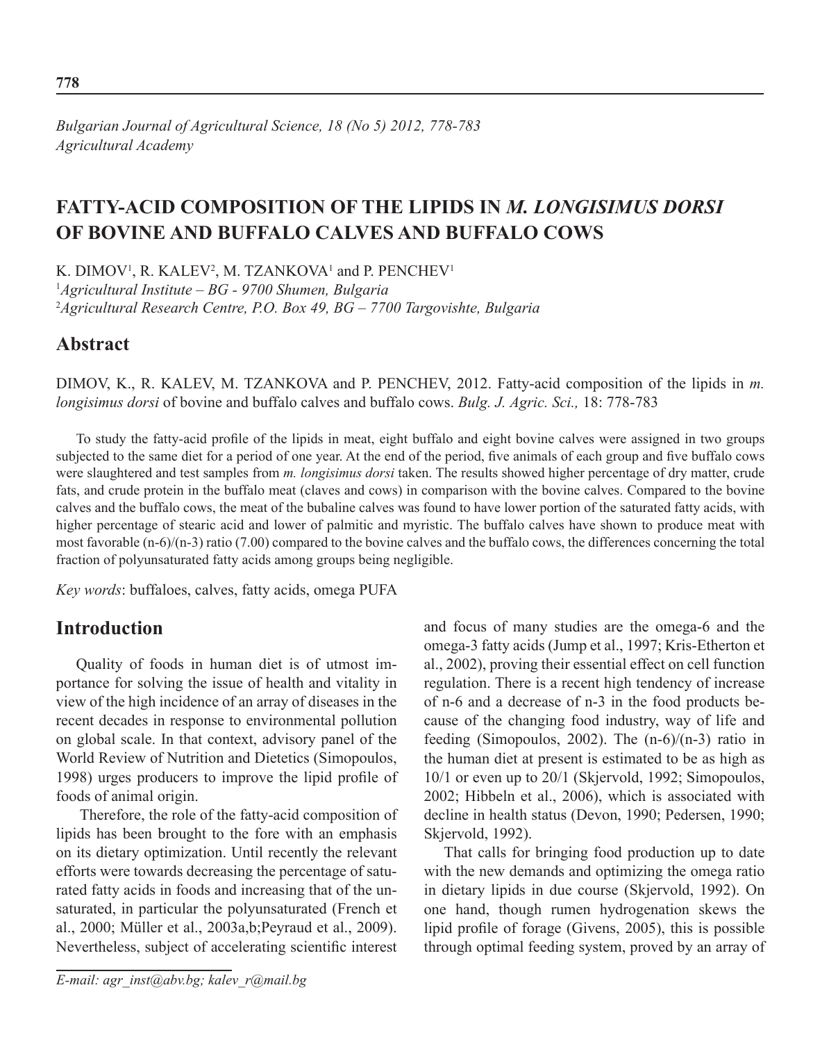#### *Bulgarian Journal of Agricultural Science, 18 (No 5) 2012, 778-783 Agricultural Academy*

# **Fatty-acid composition of the lipids in** *m. longisimus dorsi* **of bovine and buffalo calves and buffalo cows**

K. DIMOV<sup>1</sup>, R. KALEV<sup>2</sup>, M. TZANKOVA<sup>1</sup> and P. PENCHEV<sup>1</sup> 1 *Agricultural Institute – BG - 9700 Shumen, Bulgaria* 2 *Agricultural Research Centre, P.O. Box 49, BG – 7700 Targovishte, Bulgaria*

### **Abstract**

DIMOV, K., R. KALEV, M. TZANKOVA and P. PENCHEV, 2012. Fatty-acid composition of the lipids in *m. longisimus dorsi* of bovine and buffalo calves and buffalo cows. *Bulg. J. Agric. Sci.,* 18: 778-783

To study the fatty-acid profile of the lipids in meat, eight buffalo and eight bovine calves were assigned in two groups subjected to the same diet for a period of one year. At the end of the period, five animals of each group and five buffalo cows were slaughtered and test samples from *m. longisimus dorsi* taken. The results showed higher percentage of dry matter, crude fats, and crude protein in the buffalo meat (claves and cows) in comparison with the bovine calves. Compared to the bovine calves and the buffalo cows, the meat of the bubaline calves was found to have lower portion of the saturated fatty acids, with higher percentage of stearic acid and lower of palmitic and myristic. The buffalo calves have shown to produce meat with most favorable (n-6)/(n-3) ratio (7.00) compared to the bovine calves and the buffalo cows, the differences concerning the total fraction of polyunsaturated fatty acids among groups being negligible.

*Key words*: buffaloes, calves, fatty acids, omega PUFA

## **Introduction**

Quality of foods in human diet is of utmost importance for solving the issue of health and vitality in view of the high incidence of an array of diseases in the recent decades in response to environmental pollution on global scale. In that context, advisory panel of the World Review of Nutrition and Dietetics (Simopoulos, 1998) urges producers to improve the lipid profile of foods of animal origin.

 Therefore, the role of the fatty-acid composition of lipids has been brought to the fore with an emphasis on its dietary optimization. Until recently the relevant efforts were towards decreasing the percentage of saturated fatty acids in foods and increasing that of the unsaturated, in particular the polyunsaturated (French et al., 2000; Müller et al., 2003a,b;Peyraud et al., 2009). Nevertheless, subject of accelerating scientific interest

and focus of many studies are the omega-6 and the omega-3 fatty acids (Jump et al., 1997; Kris-Etherton et al., 2002), proving their essential effect on cell function regulation. There is a recent high tendency of increase of n-6 and a decrease of n-3 in the food products because of the changing food industry, way of life and feeding (Simopoulos, 2002). The  $(n-6)/(n-3)$  ratio in the human diet at present is estimated to be as high as 10/1 or even up to 20/1 (Skjervold, 1992; Simopoulos, 2002; Hibbeln et al., 2006), which is associated with decline in health status (Devon, 1990; Pedersen, 1990; Skjervold, 1992).

That calls for bringing food production up to date with the new demands and optimizing the omega ratio in dietary lipids in due course (Skjervold, 1992). On one hand, though rumen hydrogenation skews the lipid profile of forage (Givens, 2005), this is possible through optimal feeding system, proved by an array of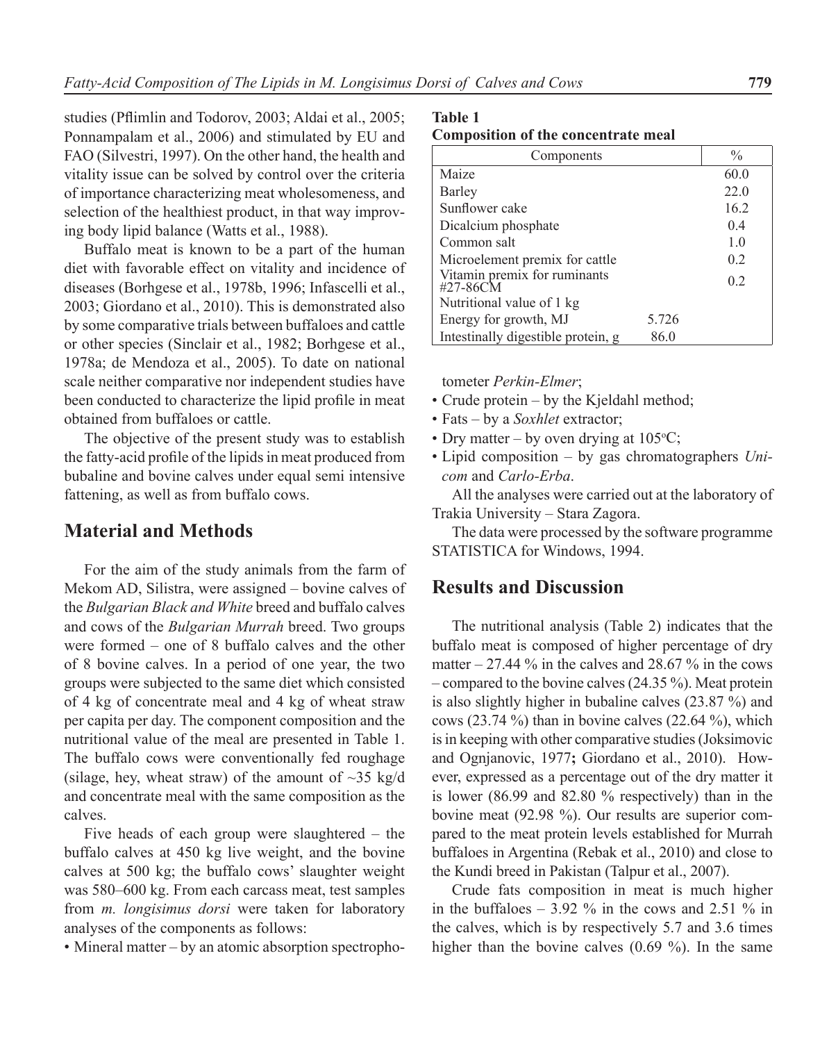studies (Pflimlin and Todorov, 2003; Aldai et al., 2005; Ponnampalam et al., 2006) and stimulated by EU and FAO (Silvestri, 1997). On the other hand, the health and vitality issue can be solved by control over the criteria of importance characterizing meat wholesomeness, and selection of the healthiest product, in that way improving body lipid balance (Watts et al., 1988).

Buffalo meat is known to be a part of the human diet with favorable effect on vitality and incidence of diseases (Borhgese et al., 1978b, 1996; Infascelli et al., 2003; Giordano et al., 2010). This is demonstrated also by some comparative trials between buffaloes and cattle or other species (Sinclair et al., 1982; Borhgese et al., 1978a; de Mendoza et al., 2005). To date on national scale neither comparative nor independent studies have been conducted to characterize the lipid profile in meat obtained from buffaloes or cattle.

The objective of the present study was to establish the fatty-acid profile of the lipids in meat produced from bubaline and bovine calves under equal semi intensive fattening, as well as from buffalo cows.

### **Material and Methods**

For the aim of the study animals from the farm of Mekom AD, Silistra, were assigned – bovine calves of the *Bulgarian Black and White* breed and buffalo calves and cows of the *Bulgarian Murrah* breed. Two groups were formed – one of 8 buffalo calves and the other of 8 bovine calves. In a period of one year, the two groups were subjected to the same diet which consisted of 4 kg of concentrate meal and 4 kg of wheat straw per capita per day. The component composition and the nutritional value of the meal are presented in Table 1. The buffalo cows were conventionally fed roughage (silage, hey, wheat straw) of the amount of  $\sim$ 35 kg/d and concentrate meal with the same composition as the calves.

Five heads of each group were slaughtered – the buffalo calves at 450 kg live weight, and the bovine calves at 500 kg; the buffalo cows' slaughter weight was 580–600 kg. From each carcass meat, test samples from *m. longisimus dorsi* were taken for laboratory analyses of the components as follows:

• Mineral matter – by an atomic absorption spectropho-

**Table 1**

| <b>Composition of the concentrate meal</b> |  |  |  |  |
|--------------------------------------------|--|--|--|--|
|--------------------------------------------|--|--|--|--|

| Components                               |       | $\frac{0}{0}$  |
|------------------------------------------|-------|----------------|
| Maize                                    |       | 60.0           |
| Barley                                   |       | 22.0           |
| Sunflower cake                           |       | 16.2           |
| Dicalcium phosphate                      |       | 0.4            |
| Common salt                              |       | 1 <sub>0</sub> |
| Microelement premix for cattle           |       | 02             |
| Vitamin premix for ruminants<br>#27-86CM |       | 0 <sub>2</sub> |
| Nutritional value of 1 kg                |       |                |
| Energy for growth, MJ                    | 5.726 |                |
| Intestinally digestible protein, g       | 86.0  |                |

tometer *Perkin-Elmer*;

- Crude protein by the Kjeldahl method;
- Fats by a *Soxhlet* extractor;
- Dry matter by oven drying at  $105^{\circ}$ C;
- Lipid composition by gas chromatographers *Unicom* and *Carlo-Erba*.

All the analyses were carried out at the laboratory of Trakia University – Stara Zagora.

The data were processed by the software programme STATISTICA for Windows, 1994.

#### **Results and Discussion**

The nutritional analysis (Table 2) indicates that the buffalo meat is composed of higher percentage of dry matter  $-27.44\%$  in the calves and 28.67 % in the cows – compared to the bovine calves (24.35 %). Meat protein is also slightly higher in bubaline calves (23.87 %) and cows (23.74 %) than in bovine calves (22.64 %), which is in keeping with other comparative studies (Joksimovic and Ognjanovic, 1977**;** Giordano et al., 2010). However, expressed as a percentage out of the dry matter it is lower (86.99 and 82.80 % respectively) than in the bovine meat (92.98 %). Our results are superior compared to the meat protein levels established for Murrah buffaloes in Argentina (Rebak et al., 2010) and close to the Kundi breed in Pakistan (Talpur et al., 2007).

Crude fats composition in meat is much higher in the buffaloes  $-3.92\%$  in the cows and 2.51 % in the calves, which is by respectively 5.7 and 3.6 times higher than the bovine calves (0.69 %). In the same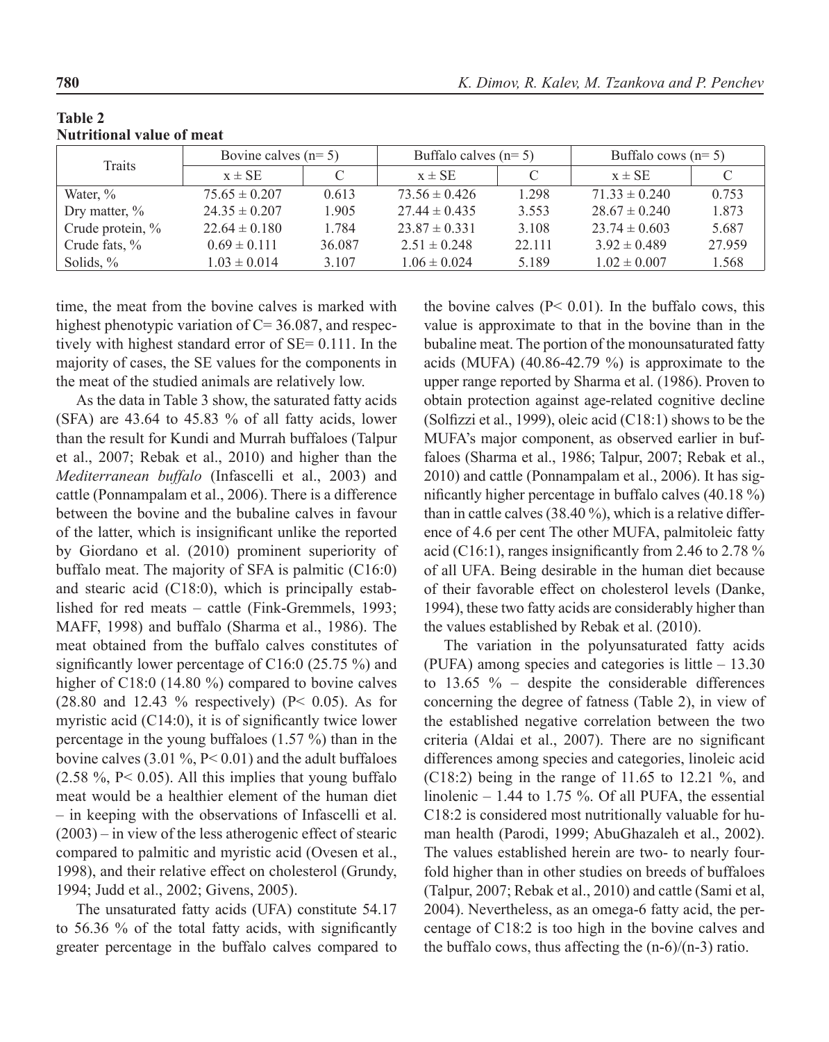| <b>Table 2</b><br><b>Nutritional value of meat</b> |                       |       |
|----------------------------------------------------|-----------------------|-------|
| m.                                                 | Bovine calves $(n=5)$ | Buffa |

| <b>Traits</b>       | Bovine calves $(n=5)$ |        | Buffalo calves $(n=5)$ |        | Buffalo cows $(n=5)$ |        |
|---------------------|-----------------------|--------|------------------------|--------|----------------------|--------|
|                     | $x \pm SE$            |        | $x \pm SE$             | C      | $x \pm SE$           |        |
| Water, %            | $75.65 \pm 0.207$     | 0.613  | $73.56 \pm 0.426$      | 1.298  | $71.33 \pm 0.240$    | 0.753  |
| Dry matter, $\%$    | $24.35 \pm 0.207$     | 1.905  | $27.44 \pm 0.435$      | 3.553  | $28.67 \pm 0.240$    | 1.873  |
| Crude protein, $\%$ | $22.64 \pm 0.180$     | 1.784  | $23.87 \pm 0.331$      | 3.108  | $23.74 \pm 0.603$    | 5.687  |
| Crude fats, %       | $0.69 \pm 0.111$      | 36.087 | $2.51 \pm 0.248$       | 22.111 | $3.92 \pm 0.489$     | 27.959 |
| Solids, $\%$        | $1.03 \pm 0.014$      | 3.107  | $1.06 \pm 0.024$       | 5.189  | $1.02 \pm 0.007$     | 1.568  |

time, the meat from the bovine calves is marked with highest phenotypic variation of C= 36.087, and respectively with highest standard error of SE= 0.111. In the majority of cases, the SE values for the components in the meat of the studied animals are relatively low.

As the data in Table 3 show, the saturated fatty acids (SFA) are 43.64 to 45.83 % of all fatty acids, lower than the result for Kundi and Murrah buffaloes (Talpur et al., 2007; Rebak et al., 2010) and higher than the *Mediterranean buffalo* (Infascelli et al., 2003) and cattle (Ponnampalam et al., 2006). There is a difference between the bovine and the bubaline calves in favour of the latter, which is insignificant unlike the reported by Giordano et al. (2010) prominent superiority of buffalo meat. The majority of SFA is palmitic (C16:0) and stearic acid (C18:0), which is principally established for red meats – cattle (Fink-Gremmels, 1993; MAFF, 1998) and buffalo (Sharma et al., 1986). The meat obtained from the buffalo calves constitutes of significantly lower percentage of C16:0 (25.75 %) and higher of C18:0 (14.80 %) compared to bovine calves (28.80 and 12.43 % respectively) (P< 0.05). As for myristic acid (C14:0), it is of significantly twice lower percentage in the young buffaloes (1.57 %) than in the bovine calves  $(3.01 \%, P < 0.01)$  and the adult buffaloes  $(2.58 \text{ %}, P < 0.05)$ . All this implies that young buffalo meat would be a healthier element of the human diet – in keeping with the observations of Infascelli et al. (2003) – in view of the less atherogenic effect of stearic compared to palmitic and myristic acid (Ovesen et al., 1998), and their relative effect on cholesterol (Grundy, 1994; Judd et al., 2002; Givens, 2005).

The unsaturated fatty acids (UFA) constitute 54.17 to 56.36 % of the total fatty acids, with significantly greater percentage in the buffalo calves compared to

the bovine calves  $(P< 0.01)$ . In the buffalo cows, this value is approximate to that in the bovine than in the bubaline meat. The portion of the monounsaturated fatty acids (MUFA) (40.86-42.79 %) is approximate to the upper range reported by Sharma et al. (1986). Proven to obtain protection against age-related cognitive decline (Solfizzi et al., 1999), oleic acid (C18:1) shows to be the MUFA's major component, as observed earlier in buffaloes (Sharma et al., 1986; Talpur, 2007; Rebak et al., 2010) and cattle (Ponnampalam et al., 2006). It has significantly higher percentage in buffalo calves (40.18 %) than in cattle calves (38.40 %), which is a relative difference of 4.6 per cent The other MUFA, palmitoleic fatty acid (C16:1), ranges insignificantly from 2.46 to 2.78 % of all UFA. Being desirable in the human diet because of their favorable effect on cholesterol levels (Danke, 1994), these two fatty acids are considerably higher than the values established by Rebak et al. (2010).

The variation in the polyunsaturated fatty acids (PUFA) among species and categories is little – 13.30 to  $13.65 \%$  – despite the considerable differences concerning the degree of fatness (Table 2), in view of the established negative correlation between the two criteria (Aldai et al., 2007). There are no significant differences among species and categories, linoleic acid (C18:2) being in the range of 11.65 to 12.21 %, and linolenic  $-1.44$  to 1.75 %. Of all PUFA, the essential C18:2 is considered most nutritionally valuable for human health (Parodi, 1999; AbuGhazaleh et al., 2002). The values established herein are two- to nearly fourfold higher than in other studies on breeds of buffaloes (Talpur, 2007; Rebak et al., 2010) and cattle (Sami et al, 2004). Nevertheless, as an omega-6 fatty acid, the percentage of C18:2 is too high in the bovine calves and the buffalo cows, thus affecting the  $(n-6)/(n-3)$  ratio.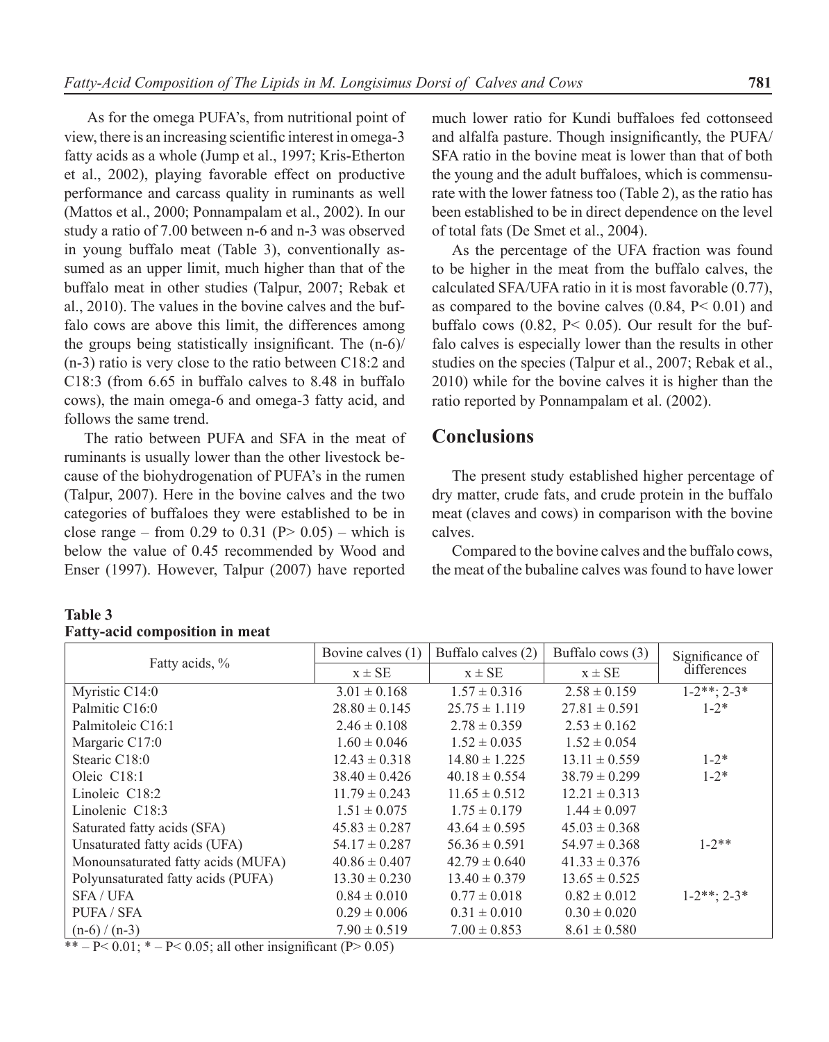As for the omega PUFA's, from nutritional point of view, there is an increasing scientific interest in omega-3 fatty acids as a whole (Jump et al., 1997; Kris-Etherton et al., 2002), playing favorable effect on productive performance and carcass quality in ruminants as well (Mattos et al., 2000; Ponnampalam et al., 2002). In our study a ratio of 7.00 between n-6 and n-3 was observed in young buffalo meat (Table 3), conventionally assumed as an upper limit, much higher than that of the buffalo meat in other studies (Talpur, 2007; Rebak et al., 2010). The values in the bovine calves and the buffalo cows are above this limit, the differences among the groups being statistically insignificant. The (n-6)/ (n-3) ratio is very close to the ratio between C18:2 and C18:3 (from 6.65 in buffalo calves to 8.48 in buffalo cows), the main omega-6 and omega-3 fatty acid, and follows the same trend.

The ratio between PUFA and SFA in the meat of ruminants is usually lower than the other livestock because of the biohydrogenation of PUFA's in the rumen (Talpur, 2007). Here in the bovine calves and the two categories of buffaloes they were established to be in close range – from 0.29 to 0.31 ( $P > 0.05$ ) – which is below the value of 0.45 recommended by Wood and Enser (1997). However, Talpur (2007) have reported

#### much lower ratio for Kundi buffaloes fed cottonseed and alfalfa pasture. Though insignificantly, the PUFA/ SFA ratio in the bovine meat is lower than that of both the young and the adult buffaloes, which is commensurate with the lower fatness too (Table 2), as the ratio has been established to be in direct dependence on the level of total fats (De Smet et al., 2004).

As the percentage of the UFA fraction was found to be higher in the meat from the buffalo calves, the calculated SFA/UFA ratio in it is most favorable (0.77), as compared to the bovine calves  $(0.84, P< 0.01)$  and buffalo cows  $(0.82, P < 0.05)$ . Our result for the buffalo calves is especially lower than the results in other studies on the species (Talpur et al., 2007; Rebak et al., 2010) while for the bovine calves it is higher than the ratio reported by Ponnampalam et al. (2002).

### **Conclusions**

The present study established higher percentage of dry matter, crude fats, and crude protein in the buffalo meat (claves and cows) in comparison with the bovine calves.

Compared to the bovine calves and the buffalo cows, the meat of the bubaline calves was found to have lower

#### **Table 3 Fatty-acid composition in meat**

| Fatty acids, %                     | Bovine calves (1) | Buffalo calves (2) | Buffalo cows (3)  | Significance of  |
|------------------------------------|-------------------|--------------------|-------------------|------------------|
|                                    | $x \pm SE$        | $x \pm SE$         | $x \pm SE$        | differences      |
| Myristic C14:0                     | $3.01 \pm 0.168$  | $1.57 \pm 0.316$   | $2.58 \pm 0.159$  | $1-2**$ ; $2-3*$ |
| Palmitic C16:0                     | $28.80 \pm 0.145$ | $25.75 \pm 1.119$  | $27.81 \pm 0.591$ | $1 - 2^*$        |
| Palmitoleic C16:1                  | $2.46 \pm 0.108$  | $2.78 \pm 0.359$   | $2.53 \pm 0.162$  |                  |
| Margaric C17:0                     | $1.60 \pm 0.046$  | $1.52 \pm 0.035$   | $1.52 \pm 0.054$  |                  |
| Stearic C18:0                      | $12.43 \pm 0.318$ | $14.80 \pm 1.225$  | $13.11 \pm 0.559$ | $1 - 2^*$        |
| Oleic C18:1                        | $38.40 \pm 0.426$ | $40.18 \pm 0.554$  | $38.79 \pm 0.299$ | $1 - 2*$         |
| Linoleic $C18:2$                   | $11.79 \pm 0.243$ | $11.65 \pm 0.512$  | $12.21 \pm 0.313$ |                  |
| Linolenic $C18:3$                  | $1.51 \pm 0.075$  | $1.75 \pm 0.179$   | $1.44 \pm 0.097$  |                  |
| Saturated fatty acids (SFA)        | $45.83 \pm 0.287$ | $43.64 \pm 0.595$  | $45.03 \pm 0.368$ |                  |
| Unsaturated fatty acids (UFA)      | $54.17 \pm 0.287$ | $56.36 \pm 0.591$  | $54.97 \pm 0.368$ | $1 - 2$ **       |
| Monounsaturated fatty acids (MUFA) | $40.86 \pm 0.407$ | $42.79 \pm 0.640$  | $41.33 \pm 0.376$ |                  |
| Polyunsaturated fatty acids (PUFA) | $13.30 \pm 0.230$ | $13.40 \pm 0.379$  | $13.65 \pm 0.525$ |                  |
| <b>SFA/UFA</b>                     | $0.84 \pm 0.010$  | $0.77 \pm 0.018$   | $0.82 \pm 0.012$  | $1-2**$ ; $2-3*$ |
| PUFA / SFA                         | $0.29 \pm 0.006$  | $0.31 \pm 0.010$   | $0.30 \pm 0.020$  |                  |
| $(n-6)/(n-3)$                      | $7.90 \pm 0.519$  | $7.00 \pm 0.853$   | $8.61 \pm 0.580$  |                  |

\* – P< 0.01; \* – P< 0.05; all other insignificant (P> 0.05)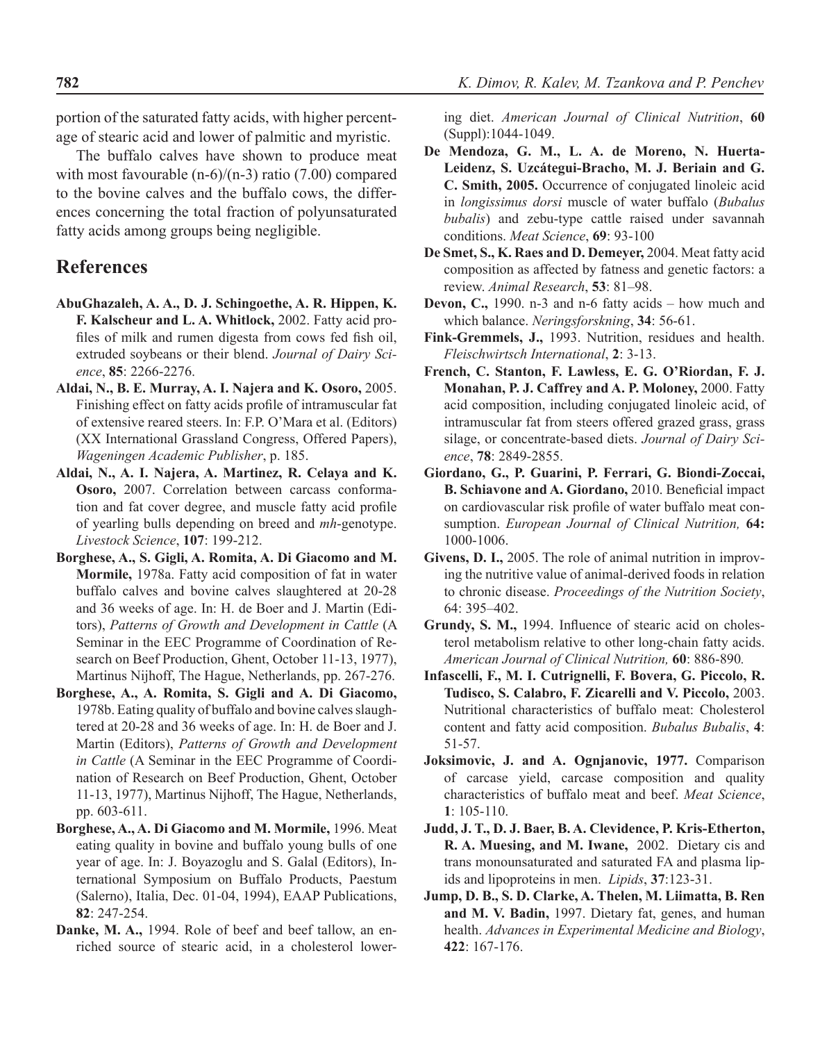portion of the saturated fatty acids, with higher percentage of stearic acid and lower of palmitic and myristic.

The buffalo calves have shown to produce meat with most favourable  $(n-6)/(n-3)$  ratio (7.00) compared to the bovine calves and the buffalo cows, the differences concerning the total fraction of polyunsaturated fatty acids among groups being negligible.

### **References**

- **AbuGhazaleh, A. A., D. J. Schingoethe, A. R. Hippen, K. F. Kalscheur and L. A. Whitlock,** 2002. Fatty acid profiles of milk and rumen digesta from cows fed fish oil, extruded soybeans or their blend. *Journal of Dairy Science*, **85**: 2266-2276.
- **Aldai, N., B. E. Murray, A. I. Najera and K. Osoro,** 2005. Finishing effect on fatty acids profile of intramuscular fat of extensive reared steers. In: F.P. O'Mara et al. (Editors) (XX International Grassland Congress, Offered Papers), *Wageningen Academic Publisher*, p. 185.
- **Aldai, N., A. I. Najera, A. Martinez, R. Celaya and K. Osoro,** 2007. Correlation between carcass conformation and fat cover degree, and muscle fatty acid profile of yearling bulls depending on breed and *mh*-genotype. *Livestock Science*, **107**: 199-212.
- **Borghese, A., S. Gigli, A. Romita, A. Di Giacomo and M. Mormile,** 1978a. Fatty acid composition of fat in water buffalo calves and bovine calves slaughtered at 20-28 and 36 weeks of age. In: H. de Boer and J. Martin (Editors), *Patterns of Growth and Development in Cattle* (A Seminar in the EEC Programme of Coordination of Research on Beef Production, Ghent, October 11-13, 1977), Martinus Nijhoff, The Hague, Netherlands, pp. 267-276.
- **Borghese, A., A. Romita, S. Gigli and A. Di Giacomo,**  1978b. Eating quality of buffalo and bovine calves slaughtered at 20-28 and 36 weeks of age. In: H. de Boer and J. Martin (Editors), *Patterns of Growth and Development in Cattle* (A Seminar in the EEC Programme of Coordination of Research on Beef Production, Ghent, October 11-13, 1977), Martinus Nijhoff, The Hague, Netherlands, pp. 603-611.
- **Borghese, A., A. Di Giacomo and M. Mormile,** 1996. Meat eating quality in bovine and buffalo young bulls of one year of age. In: J. Boyazoglu and S. Galal (Editors), International Symposium on Buffalo Products, Paestum (Salerno), Italia, Dec. 01-04, 1994), EAAP Publications, **82**: 247-254.
- **Danke, M. A.,** 1994. Role of beef and beef tallow, an enriched source of stearic acid, in a cholesterol lower-

ing diet. *American Journal of Clinical Nutrition*, **60** (Suppl):1044-1049.

- **De Mendoza, G. M., L. A. de Moreno, N. Huerta-Leidenz, S. Uzcátegui-Bracho, M. J. Beriain and G. C. Smith, 2005.** Occurrence of conjugated linoleic acid in *longissimus dorsi* muscle of water buffalo (*Bubalus bubalis*) and zebu-type cattle raised under savannah conditions. *Meat Science*, **69**: 93-100
- **De Smet, S., K. Raes and D. Demeyer,** 2004. Meat fatty acid composition as affected by fatness and genetic factors: a review. *Animal Research*, **53**: 81–98.
- **Devon, C.,** 1990. n-3 and n-6 fatty acids how much and which balance. *Neringsforskning*, **34**: 56-61.
- **Fink-Gremmels, J.,** 1993. Nutrition, residues and health. *Fleischwirtsch International*, **2**: 3-13.
- **French, C. Stanton, F. Lawless, E. G. O'Riordan, F. J. Monahan, P. J. Caffrey and A. P. Moloney,** 2000. Fatty acid composition, including conjugated linoleic acid, of intramuscular fat from steers offered grazed grass, grass silage, or concentrate-based diets. *Journal of Dairy Science*, **78**: 2849-2855.
- **Giordano, G., P. Guarini, P. Ferrari, G. Biondi-Zoccai, B. Schiavone and A. Giordano,** 2010. Beneficial impact on cardiovascular risk profile of water buffalo meat consumption. *European Journal of Clinical Nutrition,* **64:** 1000-1006.
- **Givens, D. I.,** 2005. The role of animal nutrition in improving the nutritive value of animal-derived foods in relation to chronic disease. *Proceedings of the Nutrition Society*, 64: 395–402.
- **Grundy, S. M.,** 1994. Influence of stearic acid on cholesterol metabolism relative to other long-chain fatty acids. *American Journal of Clinical Nutrition,* **60**: 886-890*.*
- **Infascelli, F., M. I. Cutrignelli, F. Bovera, G. Piccolo, R. Tudisco, S. Calabro, F. Zicarelli and V. Piccolo,** 2003. Nutritional characteristics of buffalo meat: Cholesterol content and fatty acid composition. *Bubalus Bubalis*, **4**: 51-57.
- **Joksimovic, J. and A. Ognjanovic, 1977.** Comparison of carcase yield, carcase composition and quality characteristics of buffalo meat and beef. *Meat Science*, **1**: 105-110.
- **Judd, J. T., D. J. Baer, B. A. Clevidence, P. Kris-Etherton, R. A. Muesing, and M. Iwane,** 2002. Dietary cis and trans monounsaturated and saturated FA and plasma lipids and lipoproteins in men. *Lipids*, **37**:123-31.
- **Jump, D. B., S. D. Clarke, A. Thelen, M. Liimatta, B. Ren and M. V. Badin,** 1997. Dietary fat, genes, and human health. *Advances in Experimental Medicine and Biology*, **422**: 167-176.